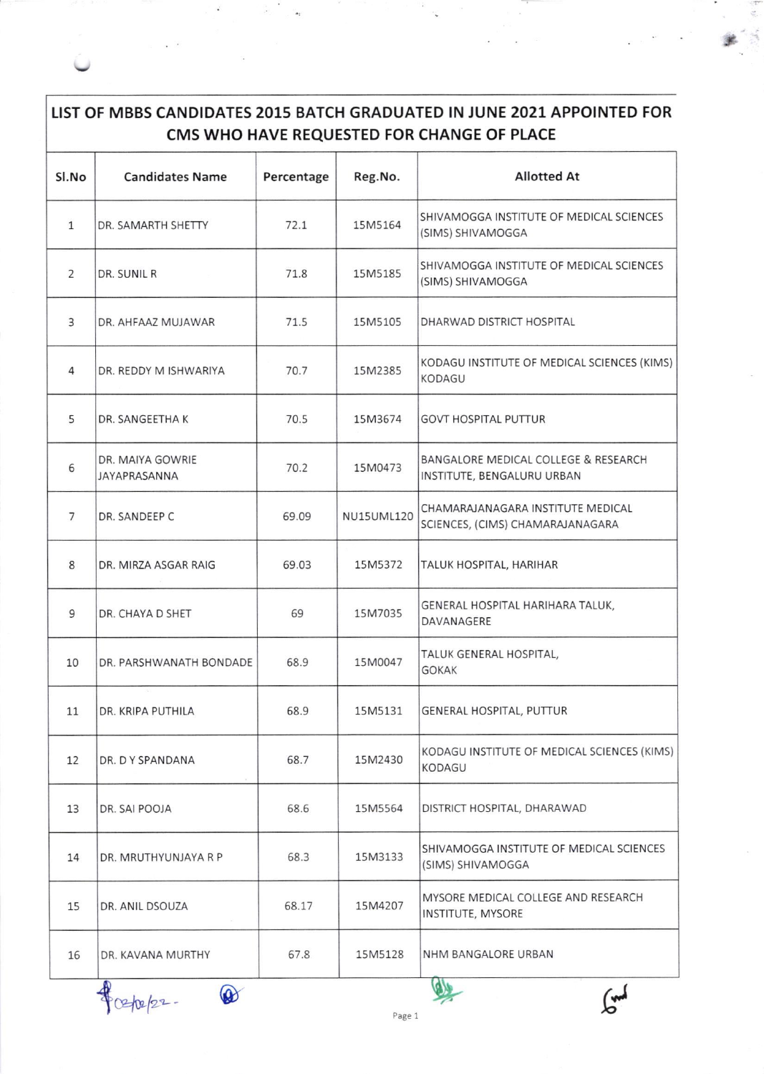## LIST OF MBBS CANDIDATES 2015 BATCH GRADUATED IN JUNE 2021 APPOINTED FOR CMS WHO HAVE REQUESTED FOR CHANGE OF PLACE

| Sl.No        | <b>Candidates Name</b>           | Percentage | Reg.No.           | <b>Allotted At</b>                                                    |
|--------------|----------------------------------|------------|-------------------|-----------------------------------------------------------------------|
| $\mathbf{1}$ | DR. SAMARTH SHETTY               | 72.1       | 15M5164           | SHIVAMOGGA INSTITUTE OF MEDICAL SCIENCES<br>(SIMS) SHIVAMOGGA         |
| 2            | DR. SUNIL R                      | 71.8       | 15M5185           | SHIVAMOGGA INSTITUTE OF MEDICAL SCIENCES<br>(SIMS) SHIVAMOGGA         |
| 3            | DR. AHFAAZ MUJAWAR               | 71.5       | 15M5105           | DHARWAD DISTRICT HOSPITAL                                             |
| 4            | DR. REDDY M ISHWARIYA            | 70.7       | 15M2385           | KODAGU INSTITUTE OF MEDICAL SCIENCES (KIMS)<br><b>KODAGU</b>          |
| 5            | DR. SANGEETHA K                  | 70.5       | 15M3674           | <b>GOVT HOSPITAL PUTTUR</b>                                           |
| 6            | DR. MAIYA GOWRIE<br>JAYAPRASANNA | 70.2       | 15M0473           | BANGALORE MEDICAL COLLEGE & RESEARCH<br>INSTITUTE, BENGALURU URBAN    |
| 7            | DR. SANDEEP C                    | 69.09      | <b>NU15UML120</b> | CHAMARAJANAGARA INSTITUTE MEDICAL<br>SCIENCES, (CIMS) CHAMARAJANAGARA |
| $\,8\,$      | DR. MIRZA ASGAR RAIG             | 69.03      | 15M5372           | TALUK HOSPITAL, HARIHAR                                               |
| 9            | DR. CHAYA D SHET                 | 69         | 15M7035           | GENERAL HOSPITAL HARIHARA TALUK,<br>DAVANAGERE                        |
| 10           | DR. PARSHWANATH BONDADE          | 68.9       | 15M0047           | TALUK GENERAL HOSPITAL,<br><b>GOKAK</b>                               |
| 11           | DR. KRIPA PUTHILA                | 68.9       | 15M5131           | GENERAL HOSPITAL, PUTTUR                                              |
| 12           | DR. DY SPANDANA                  | 68.7       | 15M2430           | KODAGU INSTITUTE OF MEDICAL SCIENCES (KIMS)<br><b>KODAGU</b>          |
| 13           | DR. SAI POOJA                    | 68.6       | 15M5564           | DISTRICT HOSPITAL, DHARAWAD                                           |
| 14           | DR. MRUTHYUNJAYA R P             | 68.3       | 15M3133           | SHIVAMOGGA INSTITUTE OF MEDICAL SCIENCES<br>(SIMS) SHIVAMOGGA         |
| 15           | DR. ANIL DSOUZA                  | 68.17      | 15M4207           | MYSORE MEDICAL COLLEGE AND RESEARCH<br>INSTITUTE, MYSORE              |
| 16           | DR. KAVANA MURTHY                | 67.8       | 15M5128           | NHM BANGALORE URBAN                                                   |
|              | $\circledcirc$                   |            |                   | لمدر                                                                  |



Page 1

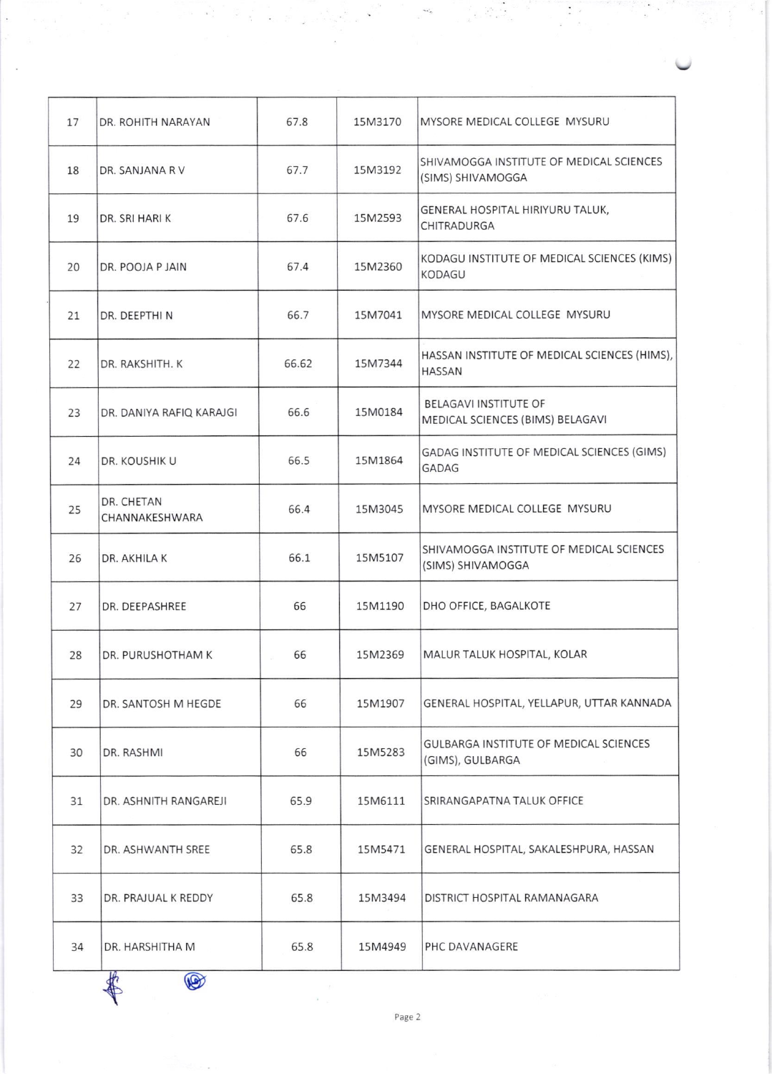| 17 | DR. ROHITH NARAYAN           | 67.8  | 15M3170 | MYSORE MEDICAL COLLEGE MYSURU                                     |
|----|------------------------------|-------|---------|-------------------------------------------------------------------|
| 18 | DR. SANJANA R V              | 67.7  | 15M3192 | SHIVAMOGGA INSTITUTE OF MEDICAL SCIENCES<br>(SIMS) SHIVAMOGGA     |
| 19 | DR. SRI HARI K               | 67.6  | 15M2593 | GENERAL HOSPITAL HIRIYURU TALUK,<br>CHITRADURGA                   |
| 20 | DR. POOJA P JAIN             | 67.4  | 15M2360 | KODAGU INSTITUTE OF MEDICAL SCIENCES (KIMS)<br><b>KODAGU</b>      |
| 21 | DR. DEEPTHIN                 | 66.7  | 15M7041 | MYSORE MEDICAL COLLEGE MYSURU                                     |
| 22 | DR. RAKSHITH. K              | 66.62 | 15M7344 | HASSAN INSTITUTE OF MEDICAL SCIENCES (HIMS),<br><b>HASSAN</b>     |
| 23 | DR. DANIYA RAFIQ KARAJGI     | 66.6  | 15M0184 | <b>BELAGAVI INSTITUTE OF</b><br>MEDICAL SCIENCES (BIMS) BELAGAVI  |
| 24 | DR. KOUSHIK U                | 66.5  | 15M1864 | GADAG INSTITUTE OF MEDICAL SCIENCES (GIMS)<br><b>GADAG</b>        |
| 25 | DR. CHETAN<br>CHANNAKESHWARA | 66.4  | 15M3045 | MYSORE MEDICAL COLLEGE MYSURU                                     |
| 26 | DR. AKHILA K                 | 66.1  | 15M5107 | SHIVAMOGGA INSTITUTE OF MEDICAL SCIENCES<br>(SIMS) SHIVAMOGGA     |
| 27 | DR. DEEPASHREE               | 66    | 15M1190 | DHO OFFICE, BAGALKOTE                                             |
| 28 | DR. PURUSHOTHAM K            | 66    | 15M2369 | MALUR TALUK HOSPITAL, KOLAR                                       |
| 29 | DR. SANTOSH M HEGDE          | 66    | 15M1907 | GENERAL HOSPITAL, YELLAPUR, UTTAR KANNADA                         |
| 30 | DR. RASHMI                   | 66    | 15M5283 | <b>GULBARGA INSTITUTE OF MEDICAL SCIENCES</b><br>(GIMS), GULBARGA |
| 31 | DR. ASHNITH RANGAREJI        | 65.9  | 15M6111 | SRIRANGAPATNA TALUK OFFICE                                        |
| 32 | DR. ASHWANTH SREE            | 65.8  | 15M5471 | GENERAL HOSPITAL, SAKALESHPURA, HASSAN                            |
| 33 | DR. PRAJUAL K REDDY          | 65.8  | 15M3494 | DISTRICT HOSPITAL RAMANAGARA                                      |
| 34 | DR. HARSHITHA M              | 65.8  | 15M4949 | PHC DAVANAGERE                                                    |
|    | O                            |       |         |                                                                   |

÷.

 $\sim$ 

 $\ddot{\cdot}$